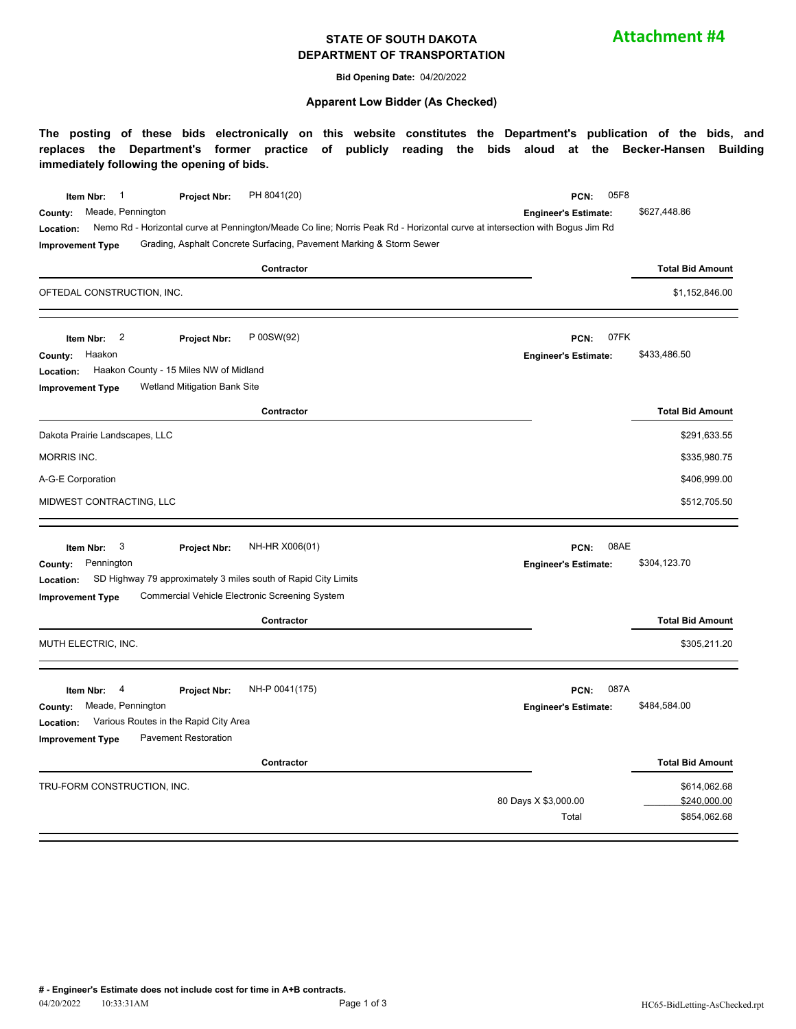### **STATE OF SOUTH DAKOTA DEPARTMENT OF TRANSPORTATION**

**Attachment #4**

**Bid Opening Date:** 04/20/2022

#### **Apparent Low Bidder (As Checked)**

**The posting of these bids electronically on this website constitutes the Department's publication of the bids, and replaces the Department's former practice of publicly reading the bids aloud at the Becker-Hansen Building immediately following the opening of bids.**

| $\overline{1}$<br>PH 8041(20)<br>Item Nbr:<br><b>Project Nbr:</b><br>Meade, Pennington<br>County:<br>Nemo Rd - Horizontal curve at Pennington/Meade Co line; Norris Peak Rd - Horizontal curve at intersection with Bogus Jim Rd<br>Location: | 05F8<br>PCN:<br><b>Engineer's Estimate:</b> | \$627,448.86                                 |
|-----------------------------------------------------------------------------------------------------------------------------------------------------------------------------------------------------------------------------------------------|---------------------------------------------|----------------------------------------------|
| Grading, Asphalt Concrete Surfacing, Pavement Marking & Storm Sewer<br><b>Improvement Type</b><br>Contractor                                                                                                                                  |                                             | <b>Total Bid Amount</b>                      |
| OFTEDAL CONSTRUCTION, INC.                                                                                                                                                                                                                    |                                             | \$1,152,846.00                               |
| P 00SW(92)<br>$\overline{2}$<br>Item Nbr:<br>Project Nbr:<br>Haakon<br>County:<br>Haakon County - 15 Miles NW of Midland<br>Location:<br>Wetland Mitigation Bank Site<br><b>Improvement Type</b>                                              | 07FK<br>PCN:<br><b>Engineer's Estimate:</b> | \$433,486.50                                 |
| Contractor                                                                                                                                                                                                                                    |                                             | <b>Total Bid Amount</b>                      |
| Dakota Prairie Landscapes, LLC                                                                                                                                                                                                                |                                             | \$291,633.55                                 |
| MORRIS INC.                                                                                                                                                                                                                                   |                                             | \$335,980.75                                 |
| A-G-E Corporation                                                                                                                                                                                                                             |                                             | \$406,999.00                                 |
| MIDWEST CONTRACTING, LLC                                                                                                                                                                                                                      |                                             | \$512,705.50                                 |
| NH-HR X006(01)<br>3<br>Item Nbr:<br><b>Project Nbr:</b><br>Pennington<br>County:<br>SD Highway 79 approximately 3 miles south of Rapid City Limits<br>Location:<br>Commercial Vehicle Electronic Screening System<br><b>Improvement Type</b>  | 08AE<br>PCN:<br><b>Engineer's Estimate:</b> | \$304,123.70                                 |
| Contractor                                                                                                                                                                                                                                    |                                             | <b>Total Bid Amount</b>                      |
| MUTH ELECTRIC, INC.                                                                                                                                                                                                                           |                                             | \$305,211.20                                 |
| 4<br>NH-P 0041(175)<br>Item Nbr:<br>Project Nbr:<br>Meade, Pennington<br>County:<br>Various Routes in the Rapid City Area<br>Location:<br><b>Pavement Restoration</b><br><b>Improvement Type</b>                                              | 087A<br>PCN:<br><b>Engineer's Estimate:</b> | \$484,584.00                                 |
| Contractor                                                                                                                                                                                                                                    |                                             | <b>Total Bid Amount</b>                      |
| TRU-FORM CONSTRUCTION, INC.                                                                                                                                                                                                                   | 80 Days X \$3,000.00<br>Total               | \$614,062.68<br>\$240,000.00<br>\$854,062.68 |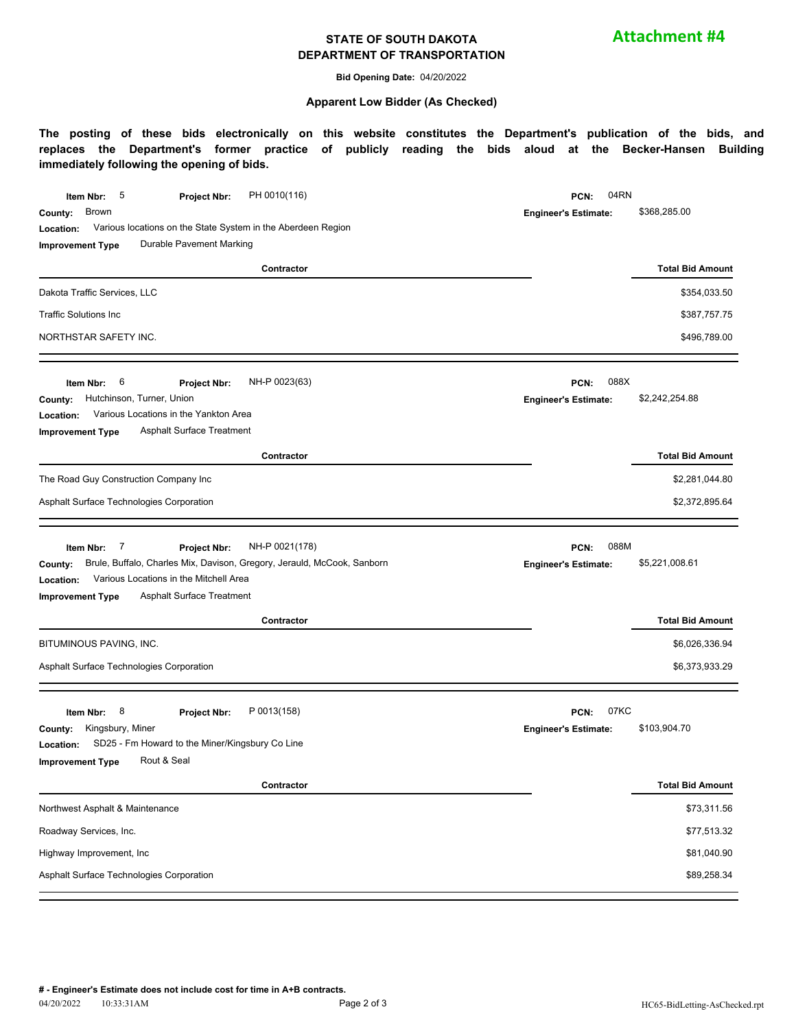### **STATE OF SOUTH DAKOTA DEPARTMENT OF TRANSPORTATION**

**Attachment #4**

**Bid Opening Date:** 04/20/2022

#### **Apparent Low Bidder (As Checked)**

**The posting of these bids electronically on this website constitutes the Department's publication of the bids, and replaces the Department's former practice of publicly reading the bids aloud at the Becker-Hansen Building immediately following the opening of bids.**

| PH 0010(116)<br>5<br>Item Nbr:<br><b>Project Nbr:</b>                              | 04RN<br>PCN:                |                         |
|------------------------------------------------------------------------------------|-----------------------------|-------------------------|
| Brown<br>County:                                                                   | <b>Engineer's Estimate:</b> | \$368,285.00            |
| Various locations on the State System in the Aberdeen Region<br>Location:          |                             |                         |
| Durable Pavement Marking<br><b>Improvement Type</b>                                |                             |                         |
| <b>Contractor</b>                                                                  |                             | <b>Total Bid Amount</b> |
| Dakota Traffic Services, LLC                                                       |                             | \$354,033.50            |
| <b>Traffic Solutions Inc</b>                                                       |                             | \$387,757.75            |
| NORTHSTAR SAFETY INC.                                                              |                             | \$496,789.00            |
| NH-P 0023(63)<br>6<br>Item Nbr:<br>Project Nbr:                                    | 088X<br>PCN:                |                         |
| Hutchinson, Turner, Union<br>County:                                               | <b>Engineer's Estimate:</b> | \$2,242,254.88          |
| Various Locations in the Yankton Area<br>Location:                                 |                             |                         |
| Asphalt Surface Treatment<br><b>Improvement Type</b>                               |                             |                         |
| Contractor                                                                         |                             | <b>Total Bid Amount</b> |
| The Road Guy Construction Company Inc                                              |                             | \$2,281,044.80          |
| Asphalt Surface Technologies Corporation                                           |                             | \$2,372,895.64          |
|                                                                                    |                             |                         |
| NH-P 0021(178)<br>7<br>Item Nbr:<br>Project Nbr:                                   | 088M<br>PCN:                |                         |
| Brule, Buffalo, Charles Mix, Davison, Gregory, Jerauld, McCook, Sanborn<br>County: | <b>Engineer's Estimate:</b> | \$5,221,008.61          |
| Various Locations in the Mitchell Area<br>Location:                                |                             |                         |
| Asphalt Surface Treatment<br><b>Improvement Type</b>                               |                             |                         |
| Contractor                                                                         |                             | <b>Total Bid Amount</b> |
| BITUMINOUS PAVING, INC.                                                            |                             | \$6,026,336.94          |
|                                                                                    |                             | \$6,373,933.29          |
| Asphalt Surface Technologies Corporation                                           |                             |                         |
| P 0013(158)<br>8<br>Item Nbr:                                                      | 07KC<br>PCN:                |                         |
| Project Nbr:<br>Kingsbury, Miner<br>County:                                        | <b>Engineer's Estimate:</b> | \$103,904.70            |
| SD25 - Fm Howard to the Miner/Kingsbury Co Line<br>Location:                       |                             |                         |
| Rout & Seal<br><b>Improvement Type</b>                                             |                             |                         |
| Contractor                                                                         |                             | <b>Total Bid Amount</b> |
| Northwest Asphalt & Maintenance                                                    |                             | \$73,311.56             |
| Roadway Services, Inc.                                                             |                             | \$77,513.32             |
| Highway Improvement, Inc                                                           |                             | \$81,040.90             |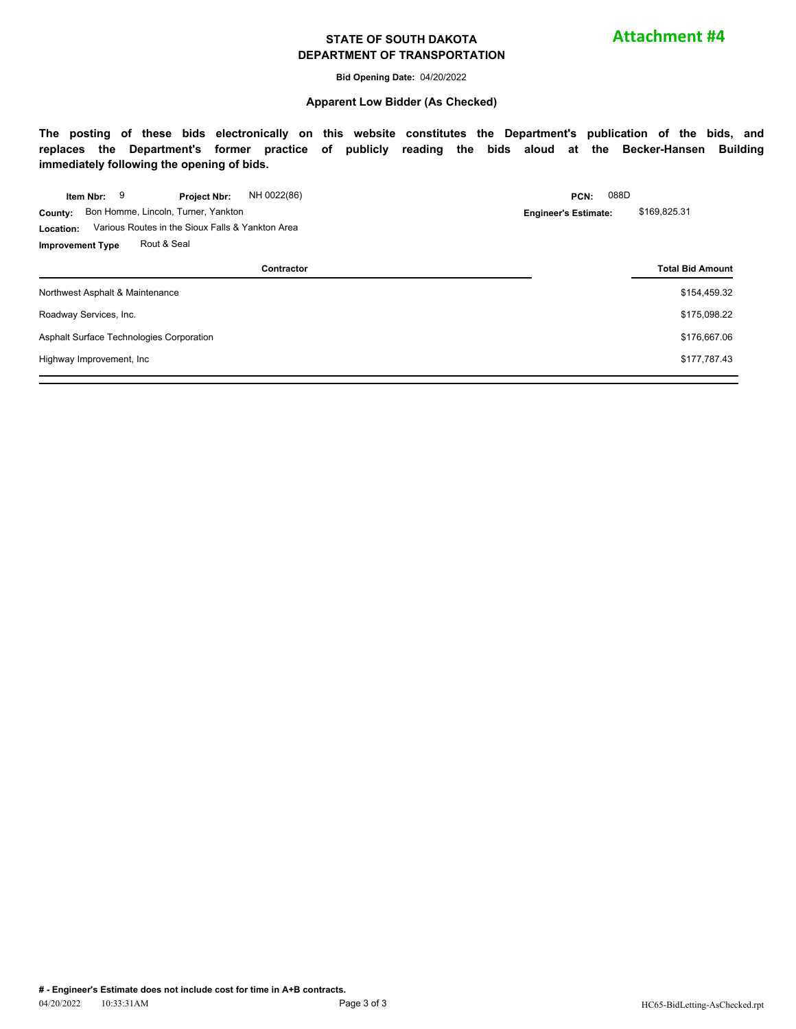### **STATE OF SOUTH DAKOTA DEPARTMENT OF TRANSPORTATION**

**Bid Opening Date:** 04/20/2022

#### **Apparent Low Bidder (As Checked)**

**The posting of these bids electronically on this website constitutes the Department's publication of the bids, and replaces the Department's former practice of publicly reading the bids aloud at the Becker-Hansen Building immediately following the opening of bids.**

| 9<br>Item Nbr:<br><b>Project Nbr:</b>                         | NH 0022(86) | PCN:                        | 088D                    |
|---------------------------------------------------------------|-------------|-----------------------------|-------------------------|
| Bon Homme, Lincoln, Turner, Yankton<br>County:                |             | <b>Engineer's Estimate:</b> | \$169,825.31            |
| Various Routes in the Sioux Falls & Yankton Area<br>Location: |             |                             |                         |
| Rout & Seal<br><b>Improvement Type</b>                        |             |                             |                         |
|                                                               | Contractor  |                             | <b>Total Bid Amount</b> |
| Northwest Asphalt & Maintenance                               |             |                             | \$154,459.32            |
| Roadway Services, Inc.                                        |             |                             | \$175,098.22            |
| Asphalt Surface Technologies Corporation                      |             |                             | \$176,667.06            |
| Highway Improvement, Inc.                                     |             |                             | \$177,787.43            |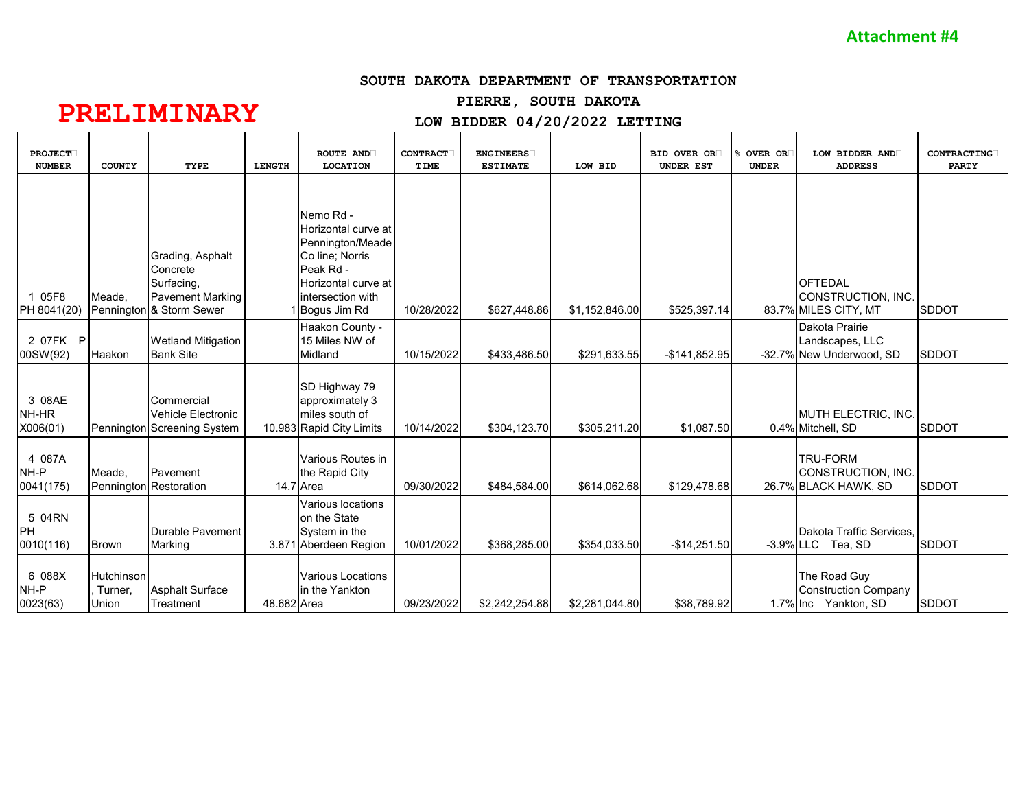## **SOUTH DAKOTA DEPARTMENT OF TRANSPORTATION**

# **PIERRE, SOUTH DAKOTA**

# **PRELIMINARY**

# **LOW BIDDER 04/20/2022 LETTING**

| <b>PROJECT</b><br><b>NUMBER</b> | <b>COUNTY</b>                         | TYPE                                                                                              | <b>LENGTH</b> | <b>ROUTE AND</b><br><b>LOCATION</b>                                                                                                                | <b>CONTRACT</b><br>TIME | <b>ENGINEERS</b><br><b>ESTIMATE</b> | LOW BID        | <b>BID OVER OR</b><br><b>UNDER EST</b> | OVER OR<br><b>UNDER</b> | LOW BIDDER AND<br><b>ADDRESS</b>                                    | <b>CONTRACTING</b><br><b>PARTY</b> |
|---------------------------------|---------------------------------------|---------------------------------------------------------------------------------------------------|---------------|----------------------------------------------------------------------------------------------------------------------------------------------------|-------------------------|-------------------------------------|----------------|----------------------------------------|-------------------------|---------------------------------------------------------------------|------------------------------------|
| 05F8<br>PH 8041(20)             | Meade.                                | Grading, Asphalt<br>Concrete<br>Surfacing,<br><b>Pavement Marking</b><br>Pennington & Storm Sewer |               | Nemo Rd -<br>Horizontal curve at<br>Pennington/Meade<br>Co line: Norris<br>Peak Rd -<br>Horizontal curve at<br>intersection with<br>1 Bogus Jim Rd | 10/28/2022              | \$627,448.86                        | \$1,152,846.00 | \$525,397.14                           |                         | <b>OFTEDAL</b><br>CONSTRUCTION, INC.<br>83.7% MILES CITY, MT        | SDDOT                              |
| 2 07FK P<br>00SW(92)            | Haakon                                | <b>Wetland Mitigation</b><br><b>Bank Site</b>                                                     |               | Haakon County -<br>15 Miles NW of<br>Midland                                                                                                       | 10/15/2022              | \$433,486.50                        | \$291,633.55   | $-$141,852.95$                         |                         | Dakota Prairie<br>Landscapes, LLC<br>-32.7% New Underwood, SD       | <b>SDDOT</b>                       |
| 3 08AE<br>NH-HR<br>X006(01)     |                                       | Commercial<br><b>Vehicle Electronic</b><br>Pennington Screening System                            |               | SD Highway 79<br>approximately 3<br>miles south of<br>10.983 Rapid City Limits                                                                     | 10/14/2022              | \$304,123.70                        | \$305,211.20   | \$1,087.50                             |                         | MUTH ELECTRIC, INC.<br>0.4% Mitchell, SD                            | <b>SDDOT</b>                       |
| 4 087A<br>NH-P<br>0041(175)     | Meade.                                | Pavement<br>Pennington Restoration                                                                |               | Various Routes in<br>the Rapid City<br>14.7 Area                                                                                                   | 09/30/2022              | \$484,584.00                        | \$614,062.68   | \$129,478.68                           |                         | <b>TRU-FORM</b><br>CONSTRUCTION, INC.<br>26.7% BLACK HAWK, SD       | <b>SDDOT</b>                       |
| 5 04RN<br>PH<br>0010(116)       | <b>Brown</b>                          | Durable Pavement<br>Marking                                                                       |               | Various locations<br>on the State<br>System in the<br>3.871 Aberdeen Region                                                                        | 10/01/2022              | \$368,285.00                        | \$354,033.50   | $-$14,251.50$                          |                         | Dakota Traffic Services,<br>-3.9% LLC Tea, SD                       | <b>SDDOT</b>                       |
| 6 088X<br>NH-P<br>0023(63)      | <b>Hutchinson</b><br>Turner,<br>Union | <b>Asphalt Surface</b><br>Treatment                                                               | 48.682 Area   | Various Locations<br>in the Yankton                                                                                                                | 09/23/2022              | \$2,242,254.88                      | \$2,281,044.80 | \$38,789.92                            |                         | The Road Guy<br><b>Construction Company</b><br>1.7% Inc Yankton, SD | <b>SDDOT</b>                       |